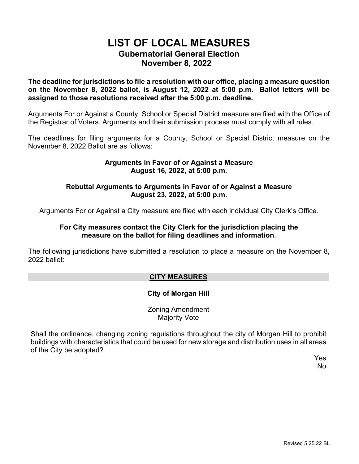# **LIST OF LOCAL MEASURES Gubernatorial General Election November 8, 2022**

**The deadline for jurisdictions to file a resolution with our office, placing a measure question on the November 8, 2022 ballot, is August 12, 2022 at 5:00 p.m. Ballot letters will be assigned to those resolutions received after the 5:00 p.m. deadline.**

Arguments For or Against a County, School or Special District measure are filed with the Office of the Registrar of Voters. Arguments and their submission process must comply with all rules.

The deadlines for filing arguments for a County, School or Special District measure on the November 8, 2022 Ballot are as follows:

### **Arguments in Favor of or Against a Measure August 16, 2022, at 5:00 p.m.**

#### **Rebuttal Arguments to Arguments in Favor of or Against a Measure August 23, 2022, at 5:00 p.m.**

Arguments For or Against a City measure are filed with each individual City Clerk's Office.

#### **For City measures contact the City Clerk for the jurisdiction placing the measure on the ballot for filing deadlines and information**.

The following jurisdictions have submitted a resolution to place a measure on the November 8, 2022 ballot:

## **CITY MEASURES**

## **City of Morgan Hill**

Zoning Amendment Majority Vote

Shall the ordinance, changing zoning regulations throughout the city of Morgan Hill to prohibit buildings with characteristics that could be used for new storage and distribution uses in all areas of the City be adopted?

Yes No